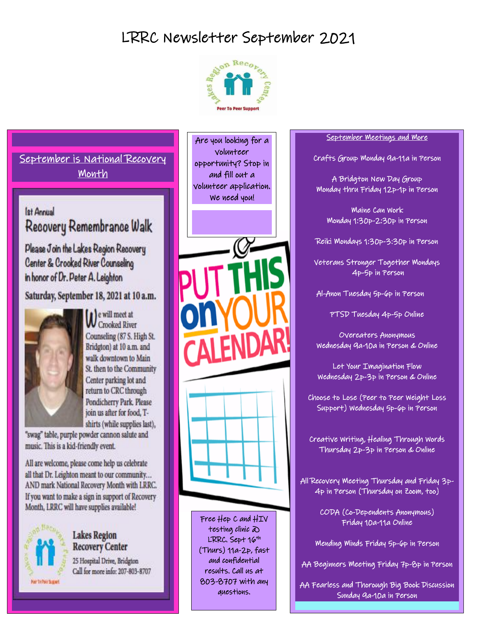### LRRC Newsletter September 2021



#### September is National Recovery Month

### let Annual Recovery Remembrance Walk

Please Join the Lakes Region Recovery Center & Crooked River Counseling in honor of Dr. Peter A. Leighton

Saturday, September 18, 2021 at 10 a.m.



le will meet at **Crooked River** Counseling (87 S. High St. Bridgton) at 10 a.m. and walk downtown to Main St. then to the Community Center parking lot and return to CRC through Pondicherry Park, Please join us after for food. Tshirts (while supplies last),

"swag" table, purple powder cannon salute and music. This is a kid-friendly event.

All are welcome, please come help us celebrate all that Dr. Leighton meant to our community... AND mark National Recovery Month with LRRC. If you want to make a sign in support of Recovery Month, LRRC will have supplies available!



#### **Lakes Region Recovery Center**

25 Hospital Drive, Bridgton Call for more info: 207-803-8707

 opportunity? Stop in Are you looking for a volunteer and fill out a volunteer application. We need you!





#### September Meetings and More

Crafts Group Monday 9a-11a in Person

A Bridgton New Day Group Monday thru Friday 12p-1p in Person

Maine Can Work Monday 1:30p-2:30p in Person

Reiki Mondays 1:30p-3:30p in Person

Veterans Stronger Together Mondays 4p-5p in Person

Al-Anon Tuesday 5p-6p in Person

PTSD Tuesday 4p-5p Online

Overeaters Anonymous Wednesday 9a-10a in Person & Online

Let Your Imagination Flow Wednesday 2p-3p in Person & Online

Choose to Lose (Peer to Peer Weight Loss Support) Wednesday 5p-6p in Person

Creative Writing, Healing Through Words Thursday 2p-3p in Person & Online

All Recovery Meeting Thursday and Friday 3p-4p in Person (Thursday on Zoom, too)

> CODA (Co-Dependents Anonymous) Friday 10a-11a Online

Mending Minds Friday 5p-6p in Person

AA Beginners Meeting Friday 7p-8p in Person

AA Fearless and Thorough Big Book Discussion Sunday 9a-10a in Person

Ī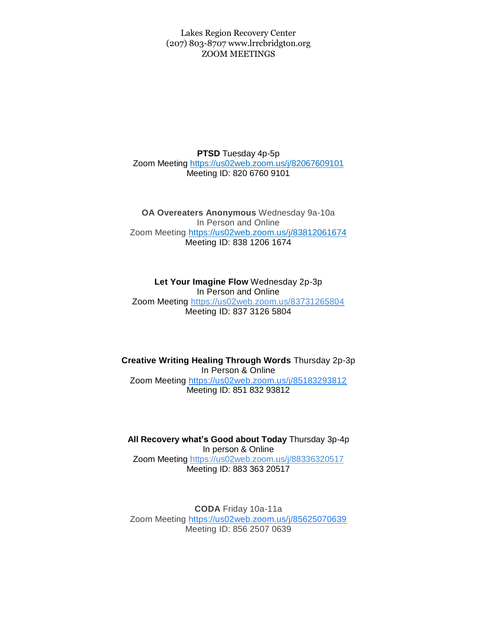Lakes Region Recovery Center (207) 803-8707 www.lrrcbridgton.org ZOOM MEETINGS

**PTSD** Tuesday 4p-5p Zoom Meeting <https://us02web.zoom.us/j/82067609101> Meeting ID: 820 6760 9101

**OA Overeaters Anonymous** Wednesday 9a-10a In Person and Online Zoom Meeting<https://us02web.zoom.us/j/83812061674> Meeting ID: 838 1206 1674

**Let Your Imagine Flow** Wednesday 2p-3p In Person and Online Zoom Meeting <https://us02web.zoom.us/83731265804> Meeting ID: 837 3126 5804

**Creative Writing Healing Through Words** Thursday 2p-3p In Person & Online Zoom Meeting [https://us02web.zoom.us/j/85183293812](https://www.google.com/url?q=https://us02web.zoom.us/j/85183293812&sa=D&source=calendar&usd=2&usg=AOvVaw1v0-wc2wJ4CIHkDE2CSgdz) Meeting ID: 851 832 93812

**All Recovery what's Good about Today** Thursday 3p-4p In person & Online Zoom Meeting https://us02web.zoom.us/j/88336320517 Meeting ID: 883 363 20517

**CODA** Friday 10a-11a Zoom Meeting [https://us02web.zoom.us/j/85625070639](https://www.google.com/url?q=https://us02web.zoom.us/j/85625070639&sa=D&source=calendar&usd=2&usg=AOvVaw0CBaMhb5AgePu1_aowAs83) Meeting ID: 856 2507 0639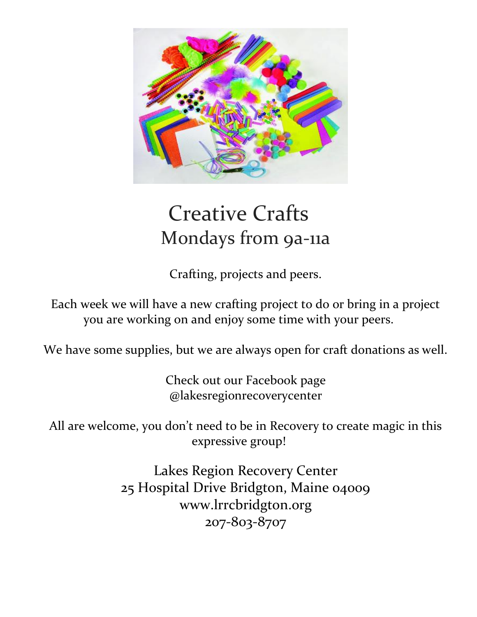

# Creative Crafts Mondays from 9a-11a

Crafting, projects and peers.

Each week we will have a new crafting project to do or bring in a project you are working on and enjoy some time with your peers.

We have some supplies, but we are always open for craft donations as well.

Check out our Facebook page @lakesregionrecoverycenter

All are welcome, you don't need to be in Recovery to create magic in this expressive group!

> Lakes Region Recovery Center 25 Hospital Drive Bridgton, Maine 04009 www.lrrcbridgton.org 207-803-8707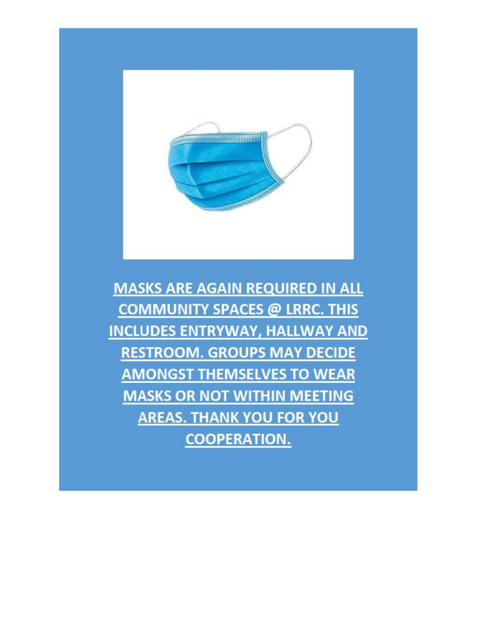

**MASKS ARE AGAIN REQUIRED IN ALL COMMUNITY SPACES @ LRRC. THIS INCLUDES ENTRYWAY, HALLWAY AND RESTROOM. GROUPS MAY DECIDE AMONGST THEMSELVES TO WEAR MASKS OR NOT WITHIN MEETING AREAS. THANK YOU FOR YOU COOPERATION.**